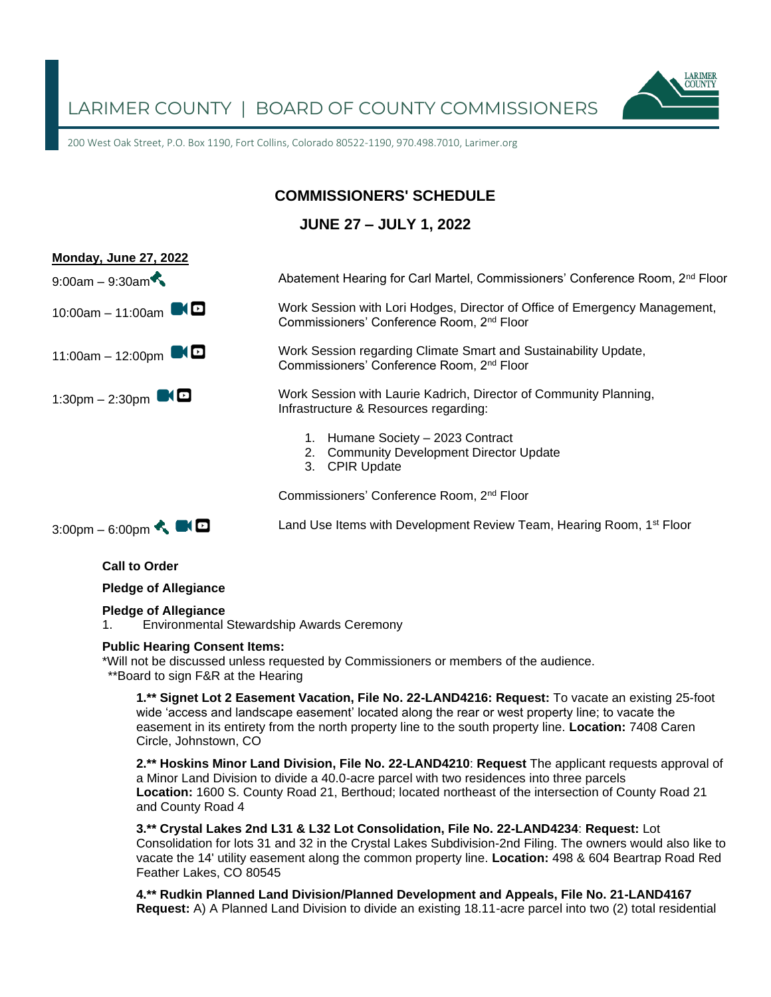

200 West Oak Street, P.O. Box 1190, Fort Collins, Colorado 80522-1190, 970.498.7010, Larimer.org

# **COMMISSIONERS' SCHEDULE**

# **JUNE 27 – JULY 1, 2022**



**Call to Order**

**Pledge of Allegiance**

#### **Pledge of Allegiance**

1. Environmental Stewardship Awards Ceremony

#### **Public Hearing Consent Items:**

\*Will not be discussed unless requested by Commissioners or members of the audience. \*\*Board to sign F&R at the Hearing

**1.\*\* Signet Lot 2 Easement Vacation, File No. 22-LAND4216: Request:** To vacate an existing 25-foot wide 'access and landscape easement' located along the rear or west property line; to vacate the easement in its entirety from the north property line to the south property line. **Location:** 7408 Caren Circle, Johnstown, CO

**2.\*\* Hoskins Minor Land Division, File No. 22-LAND4210**: **Request** The applicant requests approval of a Minor Land Division to divide a 40.0-acre parcel with two residences into three parcels **Location:** 1600 S. County Road 21, Berthoud; located northeast of the intersection of County Road 21 and County Road 4

**3.\*\* Crystal Lakes 2nd L31 & L32 Lot Consolidation, File No. 22-LAND4234**: **Request:** Lot Consolidation for lots 31 and 32 in the Crystal Lakes Subdivision-2nd Filing. The owners would also like to vacate the 14' utility easement along the common property line. **Location:** 498 & 604 Beartrap Road Red Feather Lakes, CO 80545

**4.\*\* Rudkin Planned Land Division/Planned Development and Appeals, File No. 21-LAND4167 Request:** A) A Planned Land Division to divide an existing 18.11-acre parcel into two (2) total residential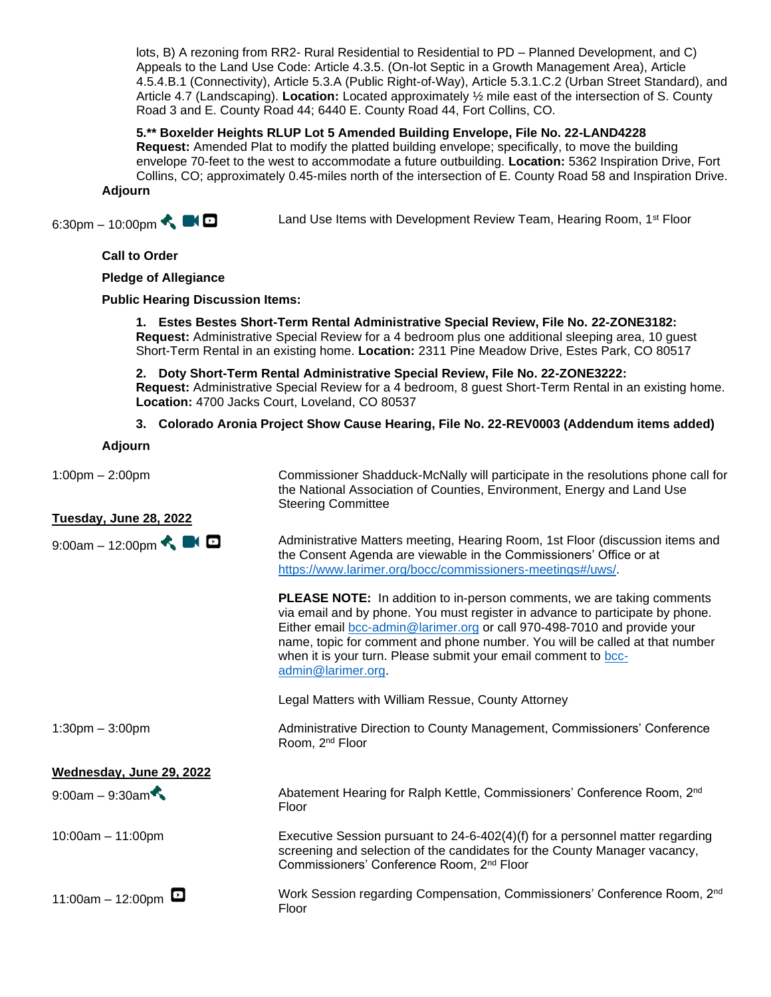lots, B) A rezoning from RR2- Rural Residential to Residential to PD – Planned Development, and C) Appeals to the Land Use Code: Article 4.3.5. (On-lot Septic in a Growth Management Area), Article 4.5.4.B.1 (Connectivity), Article 5.3.A (Public Right-of-Way), Article 5.3.1.C.2 (Urban Street Standard), and Article 4.7 (Landscaping). **Location:** Located approximately ½ mile east of the intersection of S. County Road 3 and E. County Road 44; 6440 E. County Road 44, Fort Collins, CO.

#### **5.\*\* Boxelder Heights RLUP Lot 5 Amended Building Envelope, File No. 22-LAND4228**

**Request:** Amended Plat to modify the platted building envelope; specifically, to move the building envelope 70-feet to the west to accommodate a future outbuilding. **Location:** 5362 Inspiration Drive, Fort Collins, CO; approximately 0.45-miles north of the intersection of E. County Road 58 and Inspiration Drive.

**Adjourn**

6:30pm – 10:00pm

Land Use Items with Development Review Team, Hearing Room, 1<sup>st</sup> Floor

## **Call to Order**

### **Pledge of Allegiance**

## **Public Hearing Discussion Items:**

**1. Estes Bestes Short-Term Rental Administrative Special Review, File No. 22-ZONE3182: Request:** Administrative Special Review for a 4 bedroom plus one additional sleeping area, 10 guest Short-Term Rental in an existing home. **Location:** 2311 Pine Meadow Drive, Estes Park, CO 80517

**2. Doty Short-Term Rental Administrative Special Review, File No. 22-ZONE3222: Request:** Administrative Special Review for a 4 bedroom, 8 guest Short-Term Rental in an existing home. **Location:** 4700 Jacks Court, Loveland, CO 80537

### **3. Colorado Aronia Project Show Cause Hearing, File No. 22-REV0003 (Addendum items added)**

### **Adjourn**

## **Tuesday, June 28, 2022**

9:00am – 12:00pm  $\triangle$  **D** 

1:00pm – 2:00pm Commissioner Shadduck-McNally will participate in the resolutions phone call for the National Association of Counties, Environment, Energy and Land Use Steering Committee

> Administrative Matters meeting, Hearing Room, 1st Floor (discussion items and the Consent Agenda are viewable in the Commissioners' Office or at [https://www.larimer.org/bocc/commissioners-meetings#/uws/.](https://www.larimer.org/bocc/commissioners-meetings#/uws/)

**PLEASE NOTE:** In addition to in-person comments, we are taking comments via email and by phone. You must register in advance to participate by phone. Either email [bcc-admin@larimer.org](mailto:bcc-admin@larimer.org) or call 970-498-7010 and provide your name, topic for comment and phone number. You will be called at that number when it is your turn. Please submit your email comment to [bcc](mailto:bcc-admin@larimer.org)[admin@larimer.org.](mailto:bcc-admin@larimer.org)

Legal Matters with William Ressue, County Attorney

Room, 2nd Floor

1:30pm – 3:00pm Administrative Direction to County Management, Commissioners' Conference

# **Wednesday, June 29, 2022**

9:00am – 9:30am Abatement Hearing for Ralph Kettle, Commissioners' Conference Room, 2<sup>nd</sup> Floor

10:00am – 11:00pm Executive Session pursuant to 24-6-402(4)(f) for a personnel matter regarding screening and selection of the candidates for the County Manager vacancy, Commissioners' Conference Room, 2nd Floor

11:00am – 12:00pm  $\Box$  Work Session regarding Compensation, Commissioners' Conference Room, 2<sup>nd</sup> Floor